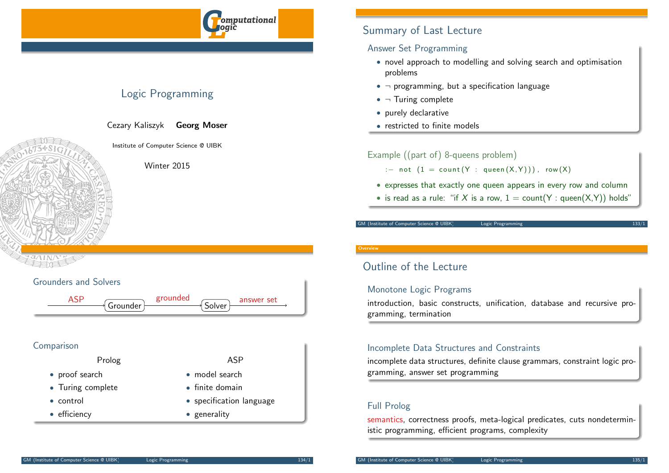

# Logic Programming

Cezary Kaliszyk Georg Moser

Institute of Computer Science @ UIBK

Winter 2015

## Grounders and Solvers

ASP grounded answer set

• model search • finite domain

• generality

• specification language

### Comparison

Prolog ASP

- proof search
- Turing complete
- control
- efficiency

**Overview** 

# Outline of the Lecture

### Monotone Logic Programs

introduction, basic constructs, unification, database and recursive programming, termination

### Incomplete Data Structures and Constraints

incomplete data structures, definite clause grammars, constraint logic programming, answer set programming

### Full Prolog

semantics, correctness proofs, meta-logical predicates, cuts nondeterministic programming, efficient programs, complexity

# Summary of Last Lecture

### Answer Set Programming

- novel approach to modelling and solving search and optimisation problems
- $\neg$  programming, but a specification language
- $\bullet$   $\neg$  Turing complete
- purely declarative
- restricted to finite models

### Example ((part of) 8-queens problem)

- :- not  $(1 = count(Y : queen(X,Y)))$ , row  $(X)$
- expresses that exactly one queen appears in every row and column
- is read as a rule: "if X is a row,  $1 = \text{count}(Y : \text{queen}(X, Y))$  holds"

GM (Institute of Computer Science @ UIBK) Logic Programming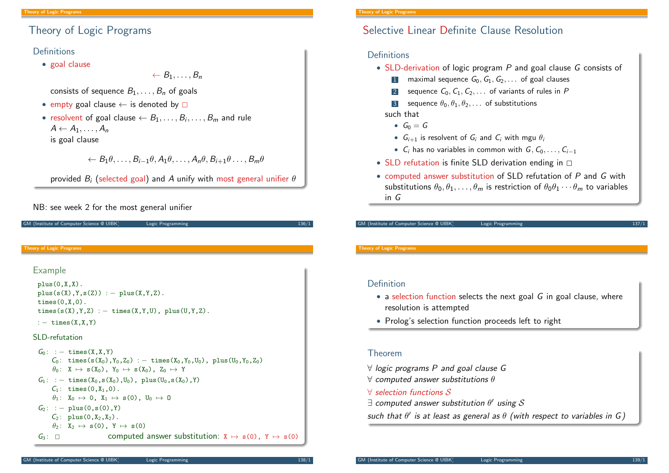# Theory of Logic Programs

### **Definitions**

• goal clause

 $\leftarrow B_1, \ldots, B_n$ 

consists of sequence  $B_1, \ldots, B_n$  of goals

- empty goal clause  $\leftarrow$  is denoted by  $\square$
- $\bullet\,$  resolvent of goal clause  $\leftarrow B_1,\ldots,B_i,\ldots,B_m$  and rule  $A \leftarrow A_1, \ldots, A_n$ is goal clause

## $\leftarrow B_1 \theta, \ldots, B_{i-1} \theta, A_1 \theta, \ldots, A_n \theta, B_{i+1} \theta, \ldots, B_m \theta$

provided  $B_i$  (selected goal) and A unify with most general unifier  $\theta$ 

### NB: see week 2 for the most general unifier

<span id="page-1-0"></span>

| <b>Theory of Logic Programs</b>                                                                                                                                                                                                                                                                                                                                                                                | <b>Theory of Logic Programs</b>                                                                   |
|----------------------------------------------------------------------------------------------------------------------------------------------------------------------------------------------------------------------------------------------------------------------------------------------------------------------------------------------------------------------------------------------------------------|---------------------------------------------------------------------------------------------------|
| Example                                                                                                                                                                                                                                                                                                                                                                                                        |                                                                                                   |
| $plus(0,X,X)$ .                                                                                                                                                                                                                                                                                                                                                                                                | Definition                                                                                        |
| $plus(s(X), Y, s(Z)) := plus(X, Y, Z).$<br>$times(0,X,0)$ .<br>times(s(X), Y, Z) : - times(X, Y, U), plus(U, Y, Z).                                                                                                                                                                                                                                                                                            | • a selection function selects the next goal $G$ in goal clause, where<br>resolution is attempted |
| : $-$ times $(X, X, Y)$                                                                                                                                                                                                                                                                                                                                                                                        | • Prolog's selection function proceeds left to right                                              |
| SLD-refutation                                                                                                                                                                                                                                                                                                                                                                                                 |                                                                                                   |
| $G_0$ : : - times $(X, X, Y)$<br>$C_0$ : times(s(X <sub>0</sub> ),Y <sub>0</sub> ,Z <sub>0</sub> ) : - times(X <sub>0</sub> ,Y <sub>0</sub> ,U <sub>0</sub> ), plus(U <sub>0</sub> ,Y <sub>0</sub> ,Z <sub>0</sub> )<br>$\theta_0$ : X $\mapsto$ s(X <sub>0</sub> ), Y <sub>0</sub> $\mapsto$ s(X <sub>0</sub> ), Z <sub>0</sub> $\mapsto$ Y<br>$G_1: :=$ times $(X_0, s(X_0), U_0)$ , plus $(U_0, s(X_0), Y)$ | <b>Theorem</b>                                                                                    |
|                                                                                                                                                                                                                                                                                                                                                                                                                | $\forall$ logic programs P and goal clause G                                                      |
|                                                                                                                                                                                                                                                                                                                                                                                                                | $\forall$ computed answer substitutions $\theta$                                                  |
| $C_1$ : times $(0, X_1, 0)$ .                                                                                                                                                                                                                                                                                                                                                                                  | $\forall$ selection functions S                                                                   |
| $\theta_1: X_0 \mapsto 0, X_1 \mapsto s(0), U_0 \mapsto 0$                                                                                                                                                                                                                                                                                                                                                     | $\exists$ computed answer substitution $\theta'$ using $\mathcal S$                               |
| $G_2$ : : - plus(0,s(0),Y)<br>$C_2$ : plus $(0, X_2, X_2)$ .                                                                                                                                                                                                                                                                                                                                                   | such that $\theta'$ is at least as general as $\theta$ (with respect to variables in G)           |
| $\theta_2$ : $X_2 \mapsto s(0)$ , $Y \mapsto s(0)$                                                                                                                                                                                                                                                                                                                                                             |                                                                                                   |
| computed answer substitution: $X \mapsto s(0)$ , $Y \mapsto s(0)$<br>$G_3: \square$                                                                                                                                                                                                                                                                                                                            |                                                                                                   |

# Selective Linear Definite Clause Resolution

### **Definitions**

- SLD-derivation of logic program P and goal clause G consists of
	- 1 maximal sequence  $G_0, G_1, G_2, \ldots$  of goal clauses
	- 2 sequence  $C_0, C_1, C_2, \ldots$  of variants of rules in P
	- 3 sequence  $\theta_0, \theta_1, \theta_2, \ldots$  of substitutions

### such that

- $G_0 = G$
- $G_{i+1}$  is resolvent of  $G_i$  and  $C_i$  with mgu  $\theta_i$
- $C_i$  has no variables in common with  $G, C_0, \ldots, C_{i-1}$
- SLD refutation is finite SLD derivation ending in  $\Box$
- computed answer substitution of SLD refutation of P and G with substitutions  $\theta_0, \theta_1, \ldots, \theta_m$  is restriction of  $\theta_0 \theta_1 \cdots \theta_m$  to variables in G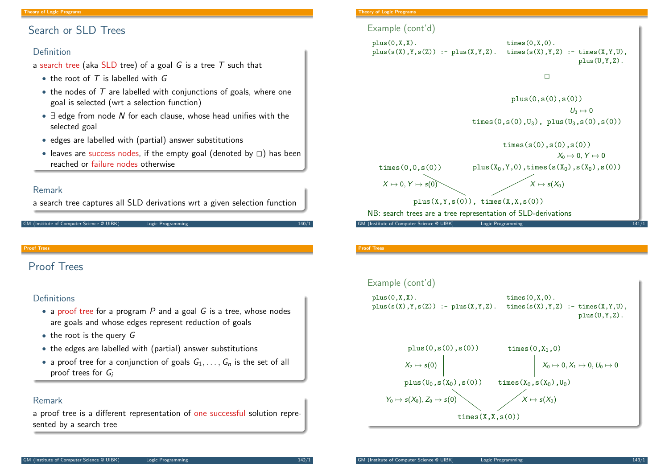# Search or SLD Trees

### Definition

a search tree (aka SLD tree) of a goal  $G$  is a tree  $T$  such that

- the root of  $T$  is labelled with  $G$
- the nodes of  $T$  are labelled with conjunctions of goals, where one goal is selected (wrt a selection function)
- $\exists$  edge from node N for each clause, whose head unifies with the selected goal
- edges are labelled with (partial) answer substitutions
- leaves are success nodes, if the empty goal (denoted by  $\Box$ ) has been reached or failure nodes otherwise

### Remark

a search tree captures all SLD derivations wrt a given selection function

#### GM (Institute of Computer Science @ UIBK) Logic Programming 140/1

Proof Trees

# <span id="page-2-0"></span>[Proof T](#page-1-0)rees

### **Definitions**

- a proof tree for a program  $P$  and a goal  $G$  is a tree, whose nodes are goals and whose edges represent reduction of goals
- $\bullet$  the root is the query  $G$
- the edges are labelled with (partial) answer substitutions
- a proof tree for a conjunction of goals  $G_1, \ldots, G_n$  is the set of all proof trees for  $G_i$

### Remark

a proof tree is a different representation of one successful solution represented by a search tree

### **Theory of Logic Programs**



#### Proof Trees